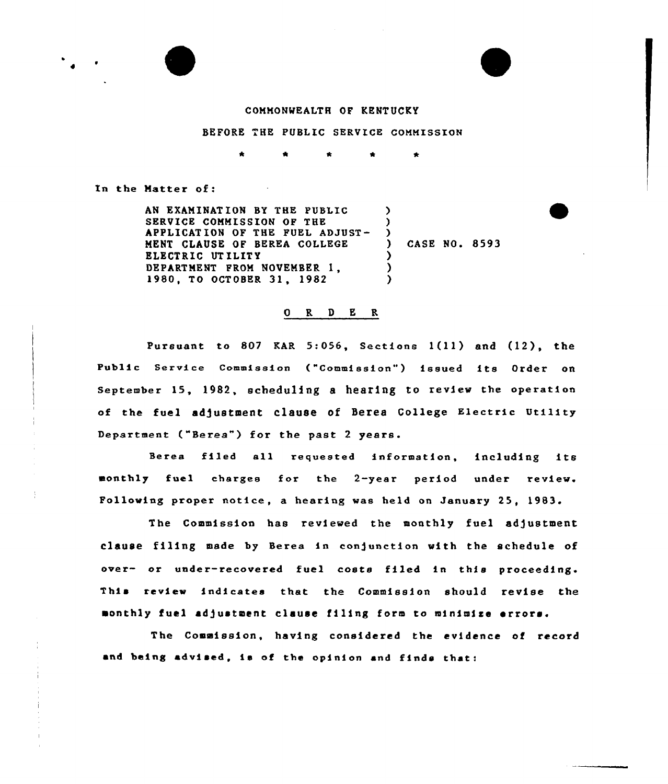

## COMMONWEALTH OF KENTUCKY

BEFORE THE PUBLIC SERVICE COMMISSION

In the Matter of:

AN EXAMINAT ION BY THE PUBLIC SERVICE COMMISSION OF THE APPLICATION OF THE FUEL ADJUST-NENT CLAUSE OF BEREA COLLEGE ELECTRIC UTILITY DEPARTMENT FROM NOVEMBER 1, 1980, TO OCTOBER 31, 1982  $\lambda$ ) ) ) CASE NO. 8593 ) ) )

## ORDER

Pursuant to 807 KAR 5:056, Sections  $1(11)$  and  $(12)$ , the Public Service Commission ("Commission") issued its Order on September 15, 1982, scheduling a hearing to review the operation of the fuel adjustment clause of Berea College Electric Utility Department ("Berea") for the past 2 years.

Berea filed all requested information, including its monthly fuel charges for the 2-year period under review. Following proper notice, a hearing was held on January 25, 1983.

The Commission has reviewed the monthly fuel adjustment clause filing made by Berea in conjunction with the schedule of over- or under-recovered fuel costs filed in this proceeding. This review indicates that the Commission should revise the monthly fuel adjustment clause filing form to minimize errors.

The Commission, having considered the evidence of record and being advised, is of the opinion and finds that: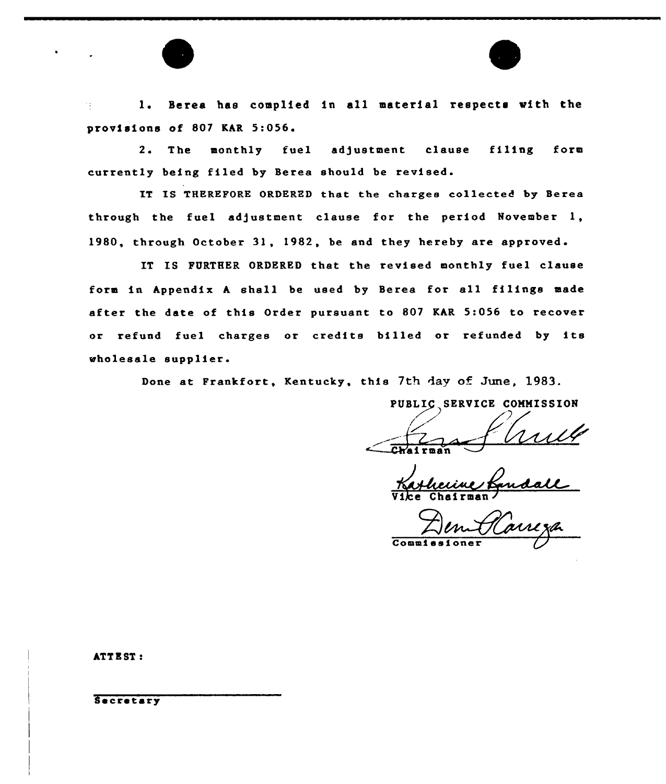1. Scree has complied in all material respects with the 74.7 provisions of 807 KAR 5:056.

2. The monthly fuel adjustment clause filing form currently being filed by Berea should be revised.

IT IS THEREFORE ORDERED that the charges collected by Berea through the fuel adjustment clause for the period November 1, 1980, through October 31, 1982, be and they hereby are approved.

IT IS FURTHER ORDERED that the revised monthly fuel clause form in hppendlx <sup>h</sup> shall be used by Berea for all filings made after the date of this Order pursuant to 807 KhR 5:056 to recover or refund fuel charges or credits billed or refunded by its wholesale supplier.

Done at Frankfort, Kentucky, this 7th day of June, 1983.

PUBLIC SERVICE COMMISSION

--+z.  $\overbrace{\hspace{2.5cm}}$ Chai rman

Vice Chairman

 $C<sub>o</sub>$ mmi

ATT E ST:

Secretary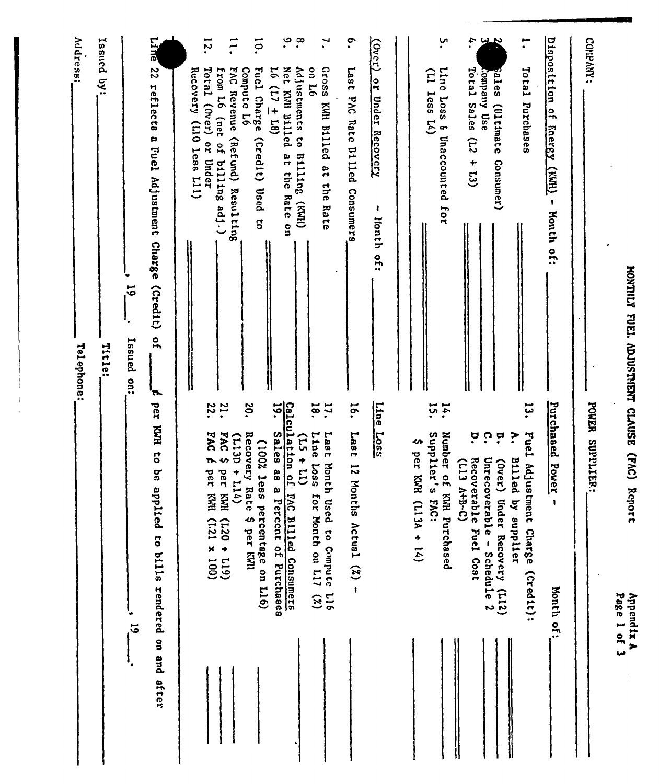| <b>NONTILI</b>  |
|-----------------|
|                 |
|                 |
|                 |
|                 |
|                 |
|                 |
|                 |
| <b>Edi</b>      |
|                 |
|                 |
| <b>EXPLOSED</b> |
|                 |
|                 |
|                 |
|                 |
|                 |
|                 |
|                 |
|                 |
|                 |
|                 |
|                 |
|                 |
|                 |
|                 |
| CLAUSE          |
|                 |
|                 |
|                 |
|                 |
|                 |
|                 |
|                 |
|                 |
| (51)            |
|                 |
|                 |
|                 |
|                 |
|                 |
|                 |
|                 |
|                 |
|                 |
|                 |
|                 |
|                 |
| chor!           |

Appendix A<br>Appendix A

 $\frac{1}{2}$ 

|                                                                                                             | Page 1 of 3                                                                                                 |
|-------------------------------------------------------------------------------------------------------------|-------------------------------------------------------------------------------------------------------------|
| CONPANY:                                                                                                    | POWER SUPPLIER:                                                                                             |
| Disposition of Energy (KWI)<br>$\pmb{\mathsf{s}}$<br>Honth of:                                              | Purchased Power<br>1<br>Month of:                                                                           |
| ÷.<br>Total Purchases                                                                                       | سا<br>دیا<br>ŗ<br>Fuel Adjust<br><b>Billed</b><br>by supplier<br>ment Charge (Credit):                      |
| بدييا<br>pales<br>(Ultimate<br>Consumer)                                                                    | ŗ<br>$(0$ ver)<br>erable - Schedule 2<br>Under Recovery (L12)                                               |
| $\ddot{\mathbf{u}}$<br>Total Sales $(L2 + L3)$<br>Company Use                                               | ŗ<br>ဂ္<br>Unrecov<br>Recoverable Fuel Cont<br>(113 A+B-C)                                                  |
| ِب'<br>•<br>Line Loss & Unaccounted for<br>$(11 \t 1055 \t 14)$                                             | ĩ,<br>14.<br>Supplier's<br>Number of KMR Purchased<br>FAC:                                                  |
|                                                                                                             | ↭<br>per KWH<br>$(113A + 14)$                                                                               |
| (Over) or Under Recovery<br>ł<br>lionth of:                                                                 | Line Loss                                                                                                   |
| $\ddot{\bullet}$<br>Last FAC Rate Billed Consumers                                                          | <b>16.</b><br>1887<br>12 Mon<br>ths Actual (%)<br>$\mathbf{I}$                                              |
| $\mathbf{v}$<br><b>Gross</b><br>on 16<br>KWI Billed at the Rate                                             | 18.<br>$\mathbf{I}$<br>Line<br>Last Month<br><b>SSOT</b><br>m<br>or Month on L17 (%)<br>Used to Compute L16 |
| ٩.<br>$\cdot^{\infty}$<br>Adjustments to Billing (KWH)<br>L6 (L7 $\pm$ L8)<br>Net KWI Billed at the Rate on | Calculation of<br>19.<br>Sales as a<br>$\tilde{E}$<br>$+11$<br>PAC Billed Consumers<br>Percent of Purchases |
| ō.<br>Fuel Charge (Credit) Used<br>Compute L6<br>$\overline{5}$                                             | 20.<br>Recovery Rate \$ per KWI<br>(100% less<br>percentage on L16)                                         |
| $\overline{1}$<br>FAC Revenue (Refund) Resulting<br>from L6 (net of<br>billing adj.)                        | $\ddot{ }$<br>PAC<br>$(113D + 114)$<br>∽<br>ber KWH (L20 + L19)                                             |
| $\overline{5}$<br>Total (Over)<br>Recovery (L10 less L11)<br>or Under                                       | 22.<br><b>PAC</b><br>ħ.<br>per KMI (L21 x 100)                                                              |
| <b>DATE</b><br>$\overline{c}$<br>reflects a Fuel Adjustment Charge (Credit) of<br>$\mathbf{r}$              | per KNH to be applied to bills rendered on and after                                                        |
| $\vec{5}$<br>Issued on:                                                                                     | $\vec{5}$                                                                                                   |
| Issued by:<br>Title:                                                                                        |                                                                                                             |
| Address:<br>Telephone:                                                                                      |                                                                                                             |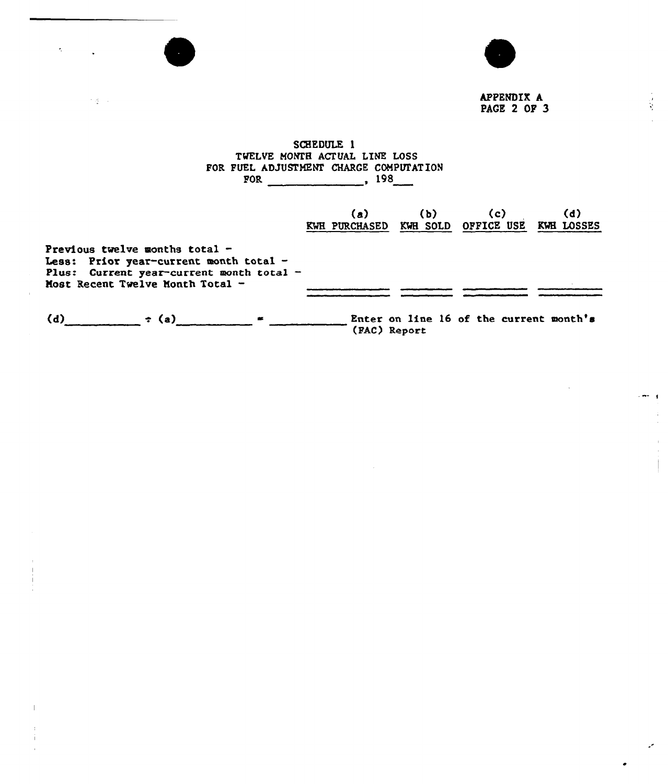

 $\mathbf{S}^{(n)}$  .

 $\mathbf{I}$ 

 $\mathbf{r}$ 

 $\mathcal{O}(\mathfrak{g}^{\mathbb{C}})$  .



APPENDIX A PACE 2 OP 3  $\sim$   $\sim$   $\sim$   $\pm$ 

÷,

 $\overline{1}$  $\frac{1}{4}$ 

## SCHEDULE 1 TWELVE MONTH ACTUAL LINE LOSS FOR FUEL ADJUSTMEÃF CHARGE NE LOSS  $POR$  198

|                                                                                                                                                            |            | (a)<br><b>KWH PURCHASED</b> | (b)          | (c)<br>KWH SOLD OFFICE USE              | (d)<br>KWE LOSSES |
|------------------------------------------------------------------------------------------------------------------------------------------------------------|------------|-----------------------------|--------------|-----------------------------------------|-------------------|
| Previous twelve months total $-$<br>Less: Prior year-current month total -<br>Plus: Current year-current month total -<br>Most Recent Twelve Month Total - |            |                             |              |                                         |                   |
| (d)                                                                                                                                                        | $\tau$ (a) |                             | (FAC) Report | Enter on line 16 of the current month's |                   |

 $\sim 10$